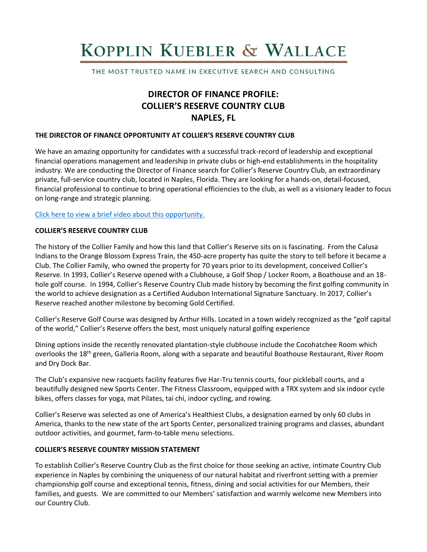# KOPPLIN KUEBLER & WALLACE

THE MOST TRUSTED NAME IN EXECUTIVE SEARCH AND CONSULTING

# **DIRECTOR OF FINANCE PROFILE: COLLIER'S RESERVE COUNTRY CLUB NAPLES, FL**

# **THE DIRECTOR OF FINANCE OPPORTUNITY AT COLLIER'S RESERVE COUNTRY CLUB**

We have an amazing opportunity for candidates with a successful track-record of leadership and exceptional financial operations management and leadership in private clubs or high-end establishments in the hospitality industry. We are conducting the Director of Finance search for Collier's Reserve Country Club, an extraordinary private, full-service country club, located in Naples, Florida. They are looking for a hands-on, detail-focused, financial professional to continue to bring operational efficiencies to the club, as well as a visionary leader to focus on long-range and strategic planning.

[Click here to view a brief video about this opportunity.](https://www.youtube.com/watch?v=8s0haTQex5M)

# **COLLIER'S RESERVE COUNTRY CLUB**

The history of the Collier Family and how this land that Collier's Reserve sits on is fascinating. From the Calusa Indians to the Orange Blossom Express Train, the 450-acre property has quite the story to tell before it became a Club. The Collier Family, who owned the property for 70 years prior to its development, conceived Collier's Reserve. In 1993, Collier's Reserve opened with a Clubhouse, a Golf Shop / Locker Room, a Boathouse and an 18 hole golf course. In 1994, Collier's Reserve Country Club made history by becoming the first golfing community in the world to achieve designation as a Certified Audubon International Signature Sanctuary. In 2017, Collier's Reserve reached another milestone by becoming Gold Certified.

Collier's Reserve Golf Course was designed by Arthur Hills. Located in a town widely recognized as the "golf capital of the world," Collier's Reserve offers the best, most uniquely natural golfing experience

Dining options inside the recently renovated plantation-style clubhouse include the Cocohatchee Room which overlooks the 18th green, Galleria Room, along with a separate and beautiful Boathouse Restaurant, River Room and Dry Dock Bar.

The Club's expansive new racquets facility features five Har-Tru tennis courts, four pickleball courts, and a beautifully designed new Sports Center. The Fitness Classroom, equipped with a TRX system and six indoor cycle bikes, offers classes for yoga, mat Pilates, tai chi, indoor cycling, and rowing.

Collier's Reserve was selected as one of America's Healthiest Clubs, a designation earned by only 60 clubs in America, thanks to the new state of the art Sports Center, personalized training programs and classes, abundant outdoor activities, and gourmet, farm-to-table menu selections.

# **COLLIER'S RESERVE COUNTRY MISSION STATEMENT**

To establish Collier's Reserve Country Club as the first choice for those seeking an active, intimate Country Club experience in Naples by combining the uniqueness of our natural habitat and riverfront setting with a premier championship golf course and exceptional tennis, fitness, dining and social activities for our Members, their families, and guests. We are committed to our Members' satisfaction and warmly welcome new Members into our Country Club.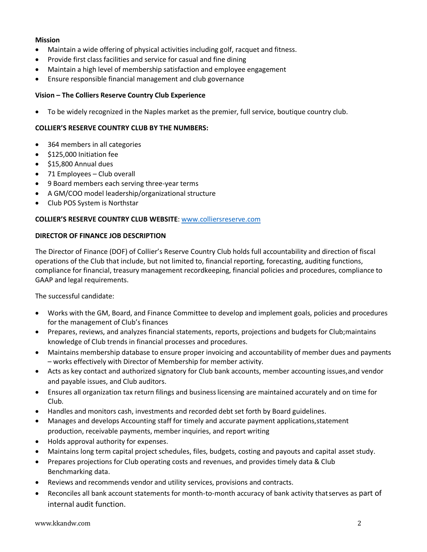# **Mission**

- Maintain a wide offering of physical activities including golf, racquet and fitness.
- Provide first class facilities and service for casual and fine dining
- Maintain a high level of membership satisfaction and employee engagement
- Ensure responsible financial management and club governance

# **Vision – The Colliers Reserve Country Club Experience**

• To be widely recognized in the Naples market as the premier, full service, boutique country club.

# **COLLIER'S RESERVE COUNTRY CLUB BY THE NUMBERS:**

- 364 members in all categories
- \$125,000 Initiation fee
- \$15,800 Annual dues
- 71 Employees Club overall
- 9 Board members each serving three-year terms
- A GM/COO model leadership/organizational structure
- Club POS System is Northstar

# **COLLIER'S RESERVE COUNTRY CLUB WEBSITE**: [www.colliersreserve.com](https://www.colliersreserve.com/)

#### **DIRECTOR OF FINANCE JOB DESCRIPTION**

The Director of Finance (DOF) of Collier's Reserve Country Club holds full accountability and direction of fiscal operations of the Club that include, but not limited to, financial reporting, forecasting, auditing functions, compliance for financial, treasury management recordkeeping, financial policies and procedures, compliance to GAAP and legal requirements.

The successful candidate:

- Works with the GM, Board, and Finance Committee to develop and implement goals, policies and procedures for the management of Club's finances
- Prepares, reviews, and analyzes financial statements, reports, projections and budgets for Club;maintains knowledge of Club trends in financial processes and procedures.
- Maintains membership database to ensure proper invoicing and accountability of member dues and payments – works effectively with Director of Membership for member activity.
- Acts as key contact and authorized signatory for Club bank accounts, member accounting issues, and vendor and payable issues, and Club auditors.
- Ensures all organization tax return filings and businesslicensing are maintained accurately and on time for Club.
- Handles and monitors cash, investments and recorded debt set forth by Board guidelines.
- Manages and develops Accounting staff for timely and accurate payment applications,statement production, receivable payments, member inquiries, and report writing
- Holds approval authority for expenses.
- Maintains long term capital project schedules, files, budgets, costing and payouts and capital asset study.
- Prepares projections for Club operating costs and revenues, and provides timely data & Club Benchmarking data.
- Reviews and recommends vendor and utility services, provisions and contracts.
- Reconciles all bank account statements for month-to-month accuracy of bank activity that serves as part of internal audit function.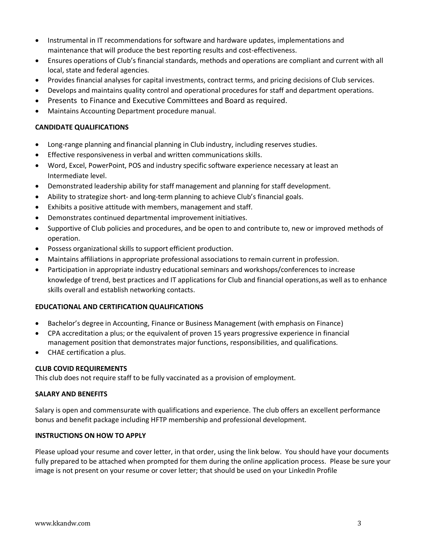- Instrumental in IT recommendations for software and hardware updates, implementations and maintenance that will produce the best reporting results and cost-effectiveness.
- Ensures operations of Club's financial standards, methods and operations are compliant and current with all local, state and federal agencies.
- Provides financial analyses for capital investments, contract terms, and pricing decisions of Club services.
- Develops and maintains quality control and operational procedures for staff and department operations.
- Presents to Finance and Executive Committees and Board as required.
- Maintains Accounting Department procedure manual.

# **CANDIDATE QUALIFICATIONS**

- Long-range planning and financial planning in Club industry, including reserves studies.
- Effective responsiveness in verbal and written communications skills.
- Word, Excel, PowerPoint, POS and industry specific software experience necessary at least an Intermediate level.
- Demonstrated leadership ability for staff management and planning for staff development.
- Ability to strategize short- and long-term planning to achieve Club's financial goals.
- Exhibits a positive attitude with members, management and staff.
- Demonstrates continued departmental improvement initiatives.
- Supportive of Club policies and procedures, and be open to and contribute to, new or improved methods of operation.
- Possess organizational skills to support efficient production.
- Maintains affiliations in appropriate professional associations to remain current in profession.
- Participation in appropriate industry educational seminars and workshops/conferences to increase knowledge of trend, best practices and IT applications for Club and financial operations,as well as to enhance skills overall and establish networking contacts.

# **EDUCATIONAL AND CERTIFICATION QUALIFICATIONS**

- Bachelor's degree in Accounting, Finance or Business Management (with emphasis on Finance)
- CPA accreditation a plus; or the equivalent of proven 15 years progressive experience in financial management position that demonstrates major functions, responsibilities, and qualifications.
- CHAE certification a plus.

# **CLUB COVID REQUIREMENTS**

This club does not require staff to be fully vaccinated as a provision of employment.

#### **SALARY AND BENEFITS**

Salary is open and commensurate with qualifications and experience. The club offers an excellent performance bonus and benefit package including HFTP membership and professional development.

# **INSTRUCTIONS ON HOW TO APPLY**

Please upload your resume and cover letter, in that order, using the link below. You should have your documents fully prepared to be attached when prompted for them during the online application process. Please be sure your image is not present on your resume or cover letter; that should be used on your LinkedIn Profile